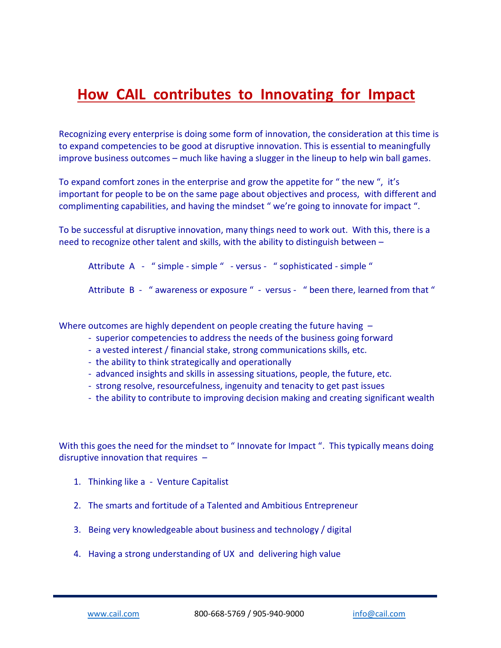## **How CAIL contributes to Innovating for Impact**

Recognizing every enterprise is doing some form of innovation, the consideration at this time is to expand competencies to be good at disruptive innovation. This is essential to meaningfully improve business outcomes – much like having a slugger in the lineup to help win ball games.

To expand comfort zones in the enterprise and grow the appetite for " the new ", it's important for people to be on the same page about objectives and process, with different and complimenting capabilities, and having the mindset " we're going to innovate for impact ".

To be successful at disruptive innovation, many things need to work out. With this, there is a need to recognize other talent and skills, with the ability to distinguish between –

Attribute A - " simple - simple " - versus - " sophisticated - simple "

Attribute B - " awareness or exposure " - versus - " been there, learned from that "

Where outcomes are highly dependent on people creating the future having -

- superior competencies to address the needs of the business going forward
- a vested interest / financial stake, strong communications skills, etc.
- the ability to think strategically and operationally
- advanced insights and skills in assessing situations, people, the future, etc.
- strong resolve, resourcefulness, ingenuity and tenacity to get past issues
- the ability to contribute to improving decision making and creating significant wealth

With this goes the need for the mindset to " Innovate for Impact ". This typically means doing disruptive innovation that requires  $-$ 

- 1. Thinking like a Venture Capitalist
- 2. The smarts and fortitude of a Talented and Ambitious Entrepreneur
- 3. Being very knowledgeable about business and technology / digital
- 4. Having a strong understanding of UX and delivering high value